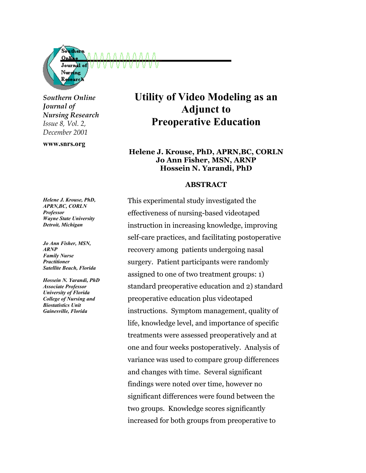

*Southern Online Journal of Nursing Research Issue 8, Vol. 2, December 2001*

**www.snrs.org**

# **Utility of Video Modeling as an Adjunct to Preoperative Education**

## **Helene J. Krouse, PhD, APRN,BC, CORLN Jo Ann Fisher, MSN, ARNP Hossein N. Yarandi, PhD**

#### **ABSTRACT**

This experimental study investigated the effectiveness of nursing-based videotaped instruction in increasing knowledge, improving self-care practices, and facilitating postoperative recovery among patients undergoing nasal surgery. Patient participants were randomly assigned to one of two treatment groups: 1) standard preoperative education and 2) standard preoperative education plus videotaped instructions. Symptom management, quality of life, knowledge level, and importance of specific treatments were assessed preoperatively and at one and four weeks postoperatively. Analysis of variance was used to compare group differences and changes with time. Several significant findings were noted over time, however no significant differences were found between the two groups. Knowledge scores significantly increased for both groups from preoperative to

*Helene J. Krouse, PhD, APRN,BC, CORLN Professor Wayne State University Detroit, Michigan* 

*Jo Ann Fisher, MSN, ARNP Family Nurse Practitioner Satellite Beach, Florida* 

*Hossein N. Yarandi, PhD Associate Professor University of Florida College of Nursing and Biostatistics Unit Gainesville, Florida*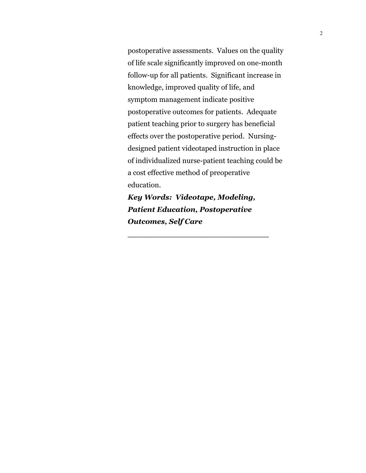postoperative assessments. Values on the quality of life scale significantly improved on one-month follow-up for all patients. Significant increase in knowledge, improved quality of life, and symptom management indicate positive postoperative outcomes for patients. Adequate patient teaching prior to surgery has beneficial effects over the postoperative period. Nursingdesigned patient videotaped instruction in place of individualized nurse-patient teaching could be a cost effective method of preoperative education.

*Key Words: Videotape, Modeling, Patient Education, Postoperative Outcomes, Self Care*

**\_\_\_\_\_\_\_\_\_\_\_\_\_\_\_\_\_\_\_\_\_\_\_\_\_\_\_\_**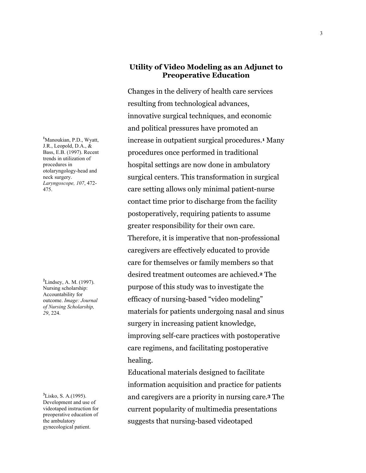**1** Manoukian, P.D., Wyatt, J.R., Leopold, D.A., & Bass, E.B. (1997). Recent trends in utilization of procedures in otolaryngology-head and neck surgery. *Laryngoscope, 107*, 472- 475.

**2** Lindsey, A. M. (1997). Nursing scholarship: Accountability for outcome. *Image: Journal of Nursing Scholarship, 29*, 224.

**3** Lisko, S. A.(1995). Development and use of videotaped instruction for preoperative education of the ambulatory gynecological patient.

## **Utility of Video Modeling as an Adjunct to Preoperative Education**

Changes in the delivery of health care services resulting from technological advances, innovative surgical techniques, and economic and political pressures have promoted an increase in outpatient surgical procedures.**1** Many procedures once performed in traditional hospital settings are now done in ambulatory surgical centers. This transformation in surgical care setting allows only minimal patient-nurse contact time prior to discharge from the facility postoperatively, requiring patients to assume greater responsibility for their own care. Therefore, it is imperative that non-professional caregivers are effectively educated to provide care for themselves or family members so that desired treatment outcomes are achieved.**2** The purpose of this study was to investigate the efficacy of nursing-based "video modeling" materials for patients undergoing nasal and sinus surgery in increasing patient knowledge, improving self-care practices with postoperative care regimens, and facilitating postoperative healing.

Educational materials designed to facilitate information acquisition and practice for patients and caregivers are a priority in nursing care.**3** The current popularity of multimedia presentations suggests that nursing-based videotaped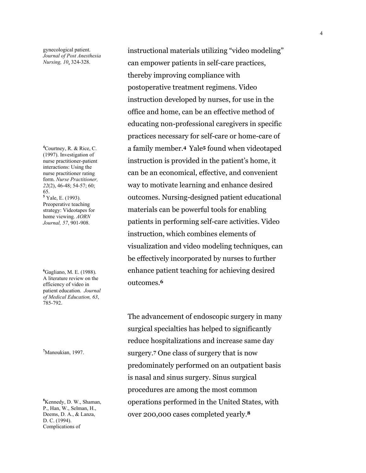gynecological patient. *Journal of Post Anesthesia Nursing, 10*, 324-328.

**4** Courtney, R. & Rice, C. (1997). Investigation of nurse practitioner-patient interactions: Using the nurse practitioner rating form. *Nurse Practitioner, 22*(2), 46-48; 54-57; 60; 65. **5** Yale, E. (1993). Preoperative teaching strategy: Videotapes for home viewing. *AORN Journal, 57*, 901-908.

**6** Gagliano, M. E. (1988). A literature review on the efficiency of video in patient education. *Journal of Medical Education, 63*, 785-792.

**7** Manoukian, 1997.

**8** Kennedy, D. W., Shaman, P., Han, W., Selman, H., Deems, D. A., & Lanza, D. C. (1994). Complications of

instructional materials utilizing "video modeling" can empower patients in self-care practices, thereby improving compliance with postoperative treatment regimens. Video instruction developed by nurses, for use in the office and home, can be an effective method of educating non-professional caregivers in specific practices necessary for self-care or home-care of a family member.**4** Yale**5** found when videotaped instruction is provided in the patient's home, it can be an economical, effective, and convenient way to motivate learning and enhance desired outcomes. Nursing-designed patient educational materials can be powerful tools for enabling patients in performing self-care activities. Video instruction, which combines elements of visualization and video modeling techniques, can be effectively incorporated by nurses to further enhance patient teaching for achieving desired outcomes.**<sup>6</sup>**

The advancement of endoscopic surgery in many surgical specialties has helped to significantly reduce hospitalizations and increase same day surgery.**7** One class of surgery that is now predominately performed on an outpatient basis is nasal and sinus surgery. Sinus surgical procedures are among the most common operations performed in the United States, with over 200,000 cases completed yearly.**8**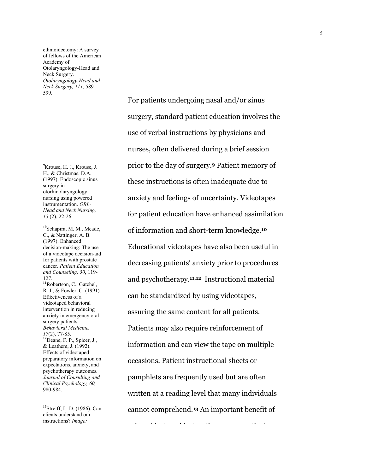ethmoidectomy: A survey of fellows of the American Academy of Otolaryngology-Head and Neck Surgery. *Otolaryngology-Head and Neck Surgery, 111,* 589- 599.

**9** Krouse, H. J., Krouse, J. H., & Christmas, D.A. (1997). Endoscopic sinus surgery in otorhinolaryngology nursing using powered instrumentation. *ORL-Head and Neck Nursing, 15* (2), 22-26.

**<sup>10</sup>**Schapira, M. M., Meade, C., & Nattinger, A. B. (1997). Enhanced decision-making: The use of a videotape decision-aid for patients with prostate cancer. *Patient Education and Counseling, 30*, 119- 127. **<sup>11</sup>**Robertson, C., Gatchel, R. J., & Fowler, C. (1991). Effectiveness of a videotaped behavioral intervention in reducing anxiety in emergency oral surgery patients*. Behavioral Medicine, <sup>17</sup>*(2), 77-85. **<sup>12</sup>**Deane, F. P., Spicer, J., & Leathem, J. (1992). Effects of videotaped preparatory information on expectations, anxiety, and psychotherapy outcomes*. Journal of Consulting and Clinical Psychology, 60,* 980-984.

**<sup>13</sup>**Streiff, L. D. (1986). Can clients understand our instructions? *Image:* 

For patients undergoing nasal and/or sinus surgery, standard patient education involves the use of verbal instructions by physicians and nurses, often delivered during a brief session prior to the day of surgery.**9** Patient memory of these instructions is often inadequate due to anxiety and feelings of uncertainty. Videotapes for patient education have enhanced assimilation of information and short-term knowledge.**<sup>10</sup>** Educational videotapes have also been useful in decreasing patients' anxiety prior to procedures and psychotherapy.**11,12** Instructional material can be standardized by using videotapes, assuring the same content for all patients. Patients may also require reinforcement of information and can view the tape on multiple occasions. Patient instructional sheets or pamphlets are frequently used but are often written at a reading level that many individuals cannot comprehend.**13** An important benefit of

i id ti di id ti ti lida e si ti lida e si ti lida e si ti lida e si ti lida e si ti lida e si ti lida e si ti<br>Ida e si ti lida e si ti lida e si ti lida e si ti lida e si ti lida e si ti lida e si ti lida e si ti lida e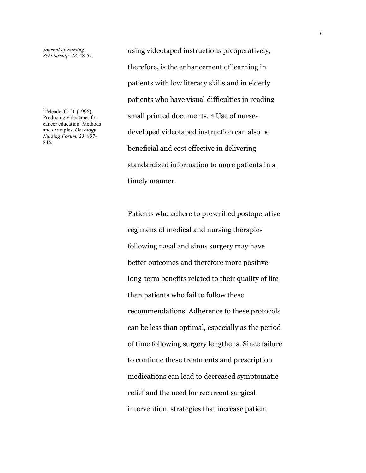*Journal of Nursing Scholarship, 18,* 48-52.

**<sup>14</sup>**Meade, C. D. (1996). Producing videotapes for cancer education: Methods and examples. *Oncology Nursing Forum, 23,* 837- 846.

using videotaped instructions preoperatively, therefore, is the enhancement of learning in patients with low literacy skills and in elderly patients who have visual difficulties in reading small printed documents.**14** Use of nursedeveloped videotaped instruction can also be beneficial and cost effective in delivering standardized information to more patients in a timely manner.

Patients who adhere to prescribed postoperative regimens of medical and nursing therapies following nasal and sinus surgery may have better outcomes and therefore more positive long-term benefits related to their quality of life than patients who fail to follow these recommendations. Adherence to these protocols can be less than optimal, especially as the period of time following surgery lengthens. Since failure to continue these treatments and prescription medications can lead to decreased symptomatic relief and the need for recurrent surgical intervention, strategies that increase patient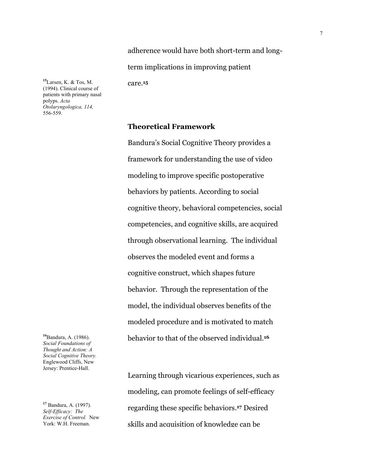adherence would have both short-term and longterm implications in improving patient

care.**<sup>15</sup>**

**<sup>15</sup>**Larsen, K. & Tos, M. (1994). Clinical course of patients with primary nasal polyps. *Acta Otolaryngologica, 114,* 556-559.

**Theoretical Framework**

Bandura's Social Cognitive Theory provides a framework for understanding the use of video modeling to improve specific postoperative behaviors by patients. According to social cognitive theory, behavioral competencies, social competencies, and cognitive skills, are acquired through observational learning. The individual observes the modeled event and forms a cognitive construct, which shapes future behavior. Through the representation of the model, the individual observes benefits of the modeled procedure and is motivated to match behavior to that of the observed individual.**<sup>16</sup>**

Learning through vicarious experiences, such as modeling, can promote feelings of self-efficacy regarding these specific behaviors.**17** Desired skills and acquisition of knowledge can be

**<sup>16</sup>**Bandura, A. (1986). *Social Foundations of Thought and Action: A Social Cognitive Theory.* Englewood Cliffs, New Jersey: Prentice-Hall.

**<sup>17</sup>** Bandura, A. (1997). *Self-Efficacy: The Exercise of Control.* New York: W.H. Freeman.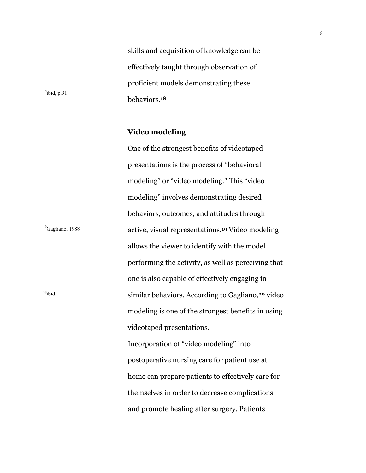skills and acquisition of knowledge can be effectively taught through observation of proficient models demonstrating these behaviors.**<sup>18</sup>**

**Video modeling**

**<sup>18</sup>**ibid, p.91

One of the strongest benefits of videotaped presentations is the process of "behavioral modeling" or "video modeling." This "video modeling" involves demonstrating desired behaviors, outcomes, and attitudes through <sup>19</sup>Gagliano, 1988 **active, visual representations.<sup>19</sup> Video modeling** allows the viewer to identify with the model performing the activity, as well as perceiving that one is also capable of effectively engaging in **<sup>20</sup>**ibid. similar behaviors. According to Gagliano,**20** video modeling is one of the strongest benefits in using videotaped presentations. Incorporation of "video modeling" into postoperative nursing care for patient use at home can prepare patients to effectively care for themselves in order to decrease complications and promote healing after surgery. Patients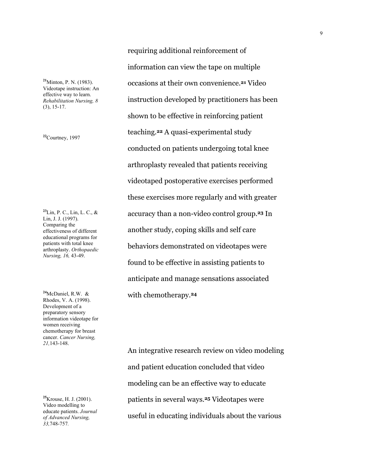**<sup>21</sup>**Minton, P. N. (1983). Videotape instruction: An effective way to learn. *Rehabilitation Nursing, 8* (3), 15-17.

**<sup>22</sup>**Courtney, 1997

**<sup>23</sup>**Lin, P. C., Lin, L. C., & Lin, J. J. (1997). Comparing the effectiveness of different educational programs for patients with total knee arthroplasty. *Orthopaedic Nursing, 16,* 43-49.

**<sup>24</sup>**McDaniel, R.W. & Rhodes, V. A. (1998). Development of a preparatory sensory information videotape for women receiving chemotherapy for breast cancer. *Cancer Nursing, 21,*143-148.

**<sup>25</sup>**Krouse, H. J. (2001). Video modelling to educate patients. *Journal of Advanced Nursing, 33,*748-757*.*

requiring additional reinforcement of information can view the tape on multiple occasions at their own convenience.**21** Video instruction developed by practitioners has been shown to be effective in reinforcing patient teaching.**22** A quasi-experimental study conducted on patients undergoing total knee arthroplasty revealed that patients receiving videotaped postoperative exercises performed these exercises more regularly and with greater accuracy than a non-video control group.**23** In another study, coping skills and self care behaviors demonstrated on videotapes were found to be effective in assisting patients to anticipate and manage sensations associated with chemotherapy.**<sup>24</sup>**

An integrative research review on video modeling and patient education concluded that video modeling can be an effective way to educate patients in several ways.**25** Videotapes were useful in educating individuals about the various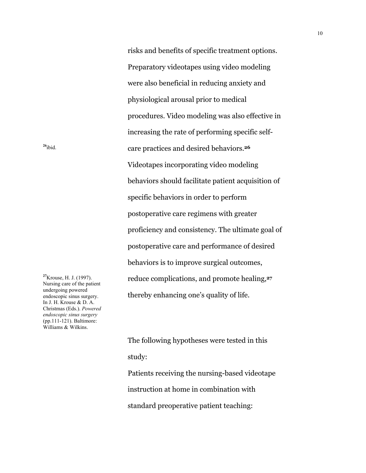risks and benefits of specific treatment options. Preparatory videotapes using video modeling were also beneficial in reducing anxiety and physiological arousal prior to medical procedures. Video modeling was also effective in increasing the rate of performing specific self-<sup>26</sup>ibid. **care practices and desired behaviors.**<sup>26</sup> Videotapes incorporating video modeling behaviors should facilitate patient acquisition of specific behaviors in order to perform postoperative care regimens with greater proficiency and consistency. The ultimate goal of postoperative care and performance of desired behaviors is to improve surgical outcomes, reduce complications, and promote healing,**<sup>27</sup>** thereby enhancing one's quality of life.

**<sup>27</sup>**Krouse, H. J. (1997). Nursing care of the patient undergoing powered endoscopic sinus surgery. In J. H. Krouse & D. A. Christmas (Eds.). *Powered endoscopic sinus surgery* (pp.111-121). Baltimore: Williams & Wilkins.

> The following hypotheses were tested in this study: Patients receiving the nursing-based videotape instruction at home in combination with standard preoperative patient teaching: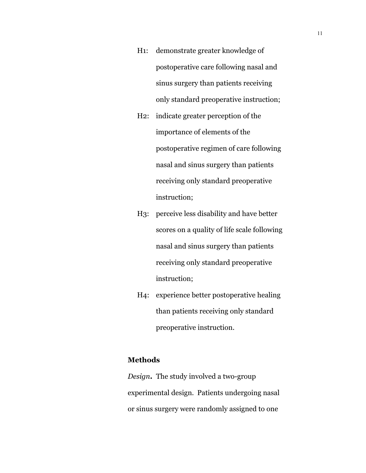- H1: demonstrate greater knowledge of postoperative care following nasal and sinus surgery than patients receiving only standard preoperative instruction;
- H2: indicate greater perception of the importance of elements of the postoperative regimen of care following nasal and sinus surgery than patients receiving only standard preoperative instruction;
- H3: perceive less disability and have better scores on a quality of life scale following nasal and sinus surgery than patients receiving only standard preoperative instruction;
- H4: experience better postoperative healing than patients receiving only standard preoperative instruction.

### **Methods**

*Design***.** The study involved a two-group experimental design. Patients undergoing nasal or sinus surgery were randomly assigned to one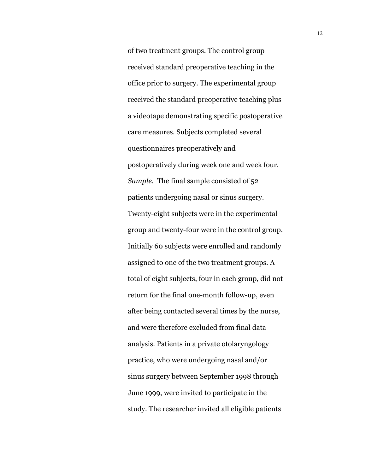of two treatment groups. The control group received standard preoperative teaching in the office prior to surgery. The experimental group received the standard preoperative teaching plus a videotape demonstrating specific postoperative care measures. Subjects completed several questionnaires preoperatively and postoperatively during week one and week four. *Sample.* The final sample consisted of 52 patients undergoing nasal or sinus surgery. Twenty-eight subjects were in the experimental group and twenty-four were in the control group. Initially 60 subjects were enrolled and randomly assigned to one of the two treatment groups. A total of eight subjects, four in each group, did not return for the final one-month follow-up, even after being contacted several times by the nurse, and were therefore excluded from final data analysis. Patients in a private otolaryngology practice, who were undergoing nasal and/or sinus surgery between September 1998 through June 1999, were invited to participate in the study. The researcher invited all eligible patients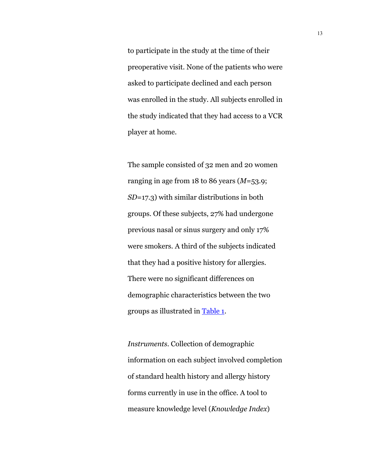to participate in the study at the time of their preoperative visit. None of the patients who were asked to participate declined and each person was enrolled in the study. All subjects enrolled in the study indicated that they had access to a VCR player at home.

The sample consisted of 32 men and 20 women ranging in age from 18 to 86 years (*M*=53.9; *SD*=17.3) with similar distributions in both groups. Of these subjects, 27% had undergone previous nasal or sinus surgery and only 17% were smokers. A third of the subjects indicated that they had a positive history for allergies. There were no significant differences on demographic characteristics between the two groups as illustrated in Table 1.

*Instruments*. Collection of demographic information on each subject involved completion of standard health history and allergy history forms currently in use in the office. A tool to measure knowledge level (*Knowledge Index*)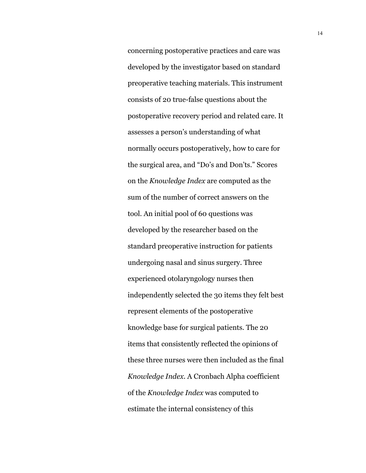concerning postoperative practices and care was developed by the investigator based on standard preoperative teaching materials. This instrument consists of 20 true-false questions about the postoperative recovery period and related care. It assesses a person's understanding of what normally occurs postoperatively, how to care for the surgical area, and "Do's and Don'ts." Scores on the *Knowledge Index* are computed as the sum of the number of correct answers on the tool. An initial pool of 60 questions was developed by the researcher based on the standard preoperative instruction for patients undergoing nasal and sinus surgery. Three experienced otolaryngology nurses then independently selected the 30 items they felt best represent elements of the postoperative knowledge base for surgical patients. The 20 items that consistently reflected the opinions of these three nurses were then included as the final *Knowledge Index*. A Cronbach Alpha coefficient of the *Knowledge Index* was computed to estimate the internal consistency of this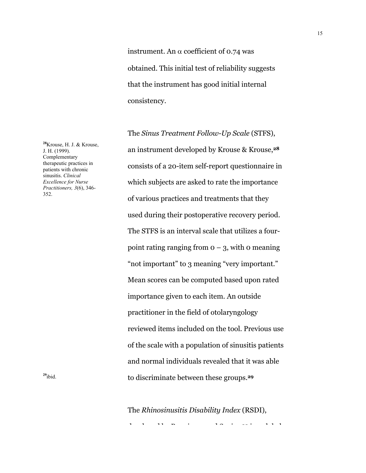instrument. An  $\alpha$  coefficient of 0.74 was obtained. This initial test of reliability suggests that the instrument has good initial internal consistency.

The *Sinus Treatment Follow-Up Scale* (STFS), an instrument developed by Krouse & Krouse,**<sup>28</sup>** consists of a 20-item self-report questionnaire in which subjects are asked to rate the importance of various practices and treatments that they used during their postoperative recovery period. The STFS is an interval scale that utilizes a fourpoint rating ranging from  $o - 3$ , with 0 meaning "not important" to 3 meaning "very important." Mean scores can be computed based upon rated importance given to each item. An outside practitioner in the field of otolaryngology reviewed items included on the tool. Previous use of the scale with a population of sinusitis patients and normal individuals revealed that it was able **<sup>29</sup>**ibid. to discriminate between these groups.**<sup>29</sup>**

The *Rhinosinusitis Disability Index* (RSDI),

d l d b B i d S i **<sup>30</sup>** i l b l

**<sup>28</sup>**Krouse, H. J. & Krouse, J. H. (1999). Complementary therapeutic practices in patients with chronic sinusitis. *Clinical Excellence for Nurse Practitioners, 3*(6), 346- 352.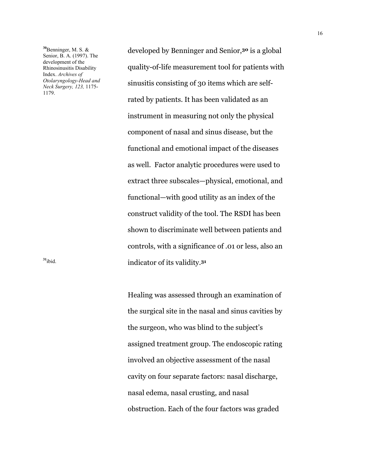**<sup>30</sup>**Benninger, M. S. & Senior, B. A. (1997). The development of the Rhinosinusitis Disability Index. *Archives of Otolaryngology-Head and Neck Surgery, 123,* 1175- 1179.

developed by Benninger and Senior,**30** is a global quality-of-life measurement tool for patients with sinusitis consisting of 30 items which are selfrated by patients. It has been validated as an instrument in measuring not only the physical component of nasal and sinus disease, but the functional and emotional impact of the diseases as well. Factor analytic procedures were used to extract three subscales—physical, emotional, and functional—with good utility as an index of the construct validity of the tool. The RSDI has been shown to discriminate well between patients and controls, with a significance of .01 or less, also an **<sup>31</sup>**ibid. indicator of its validity.**<sup>31</sup>**

> Healing was assessed through an examination of the surgical site in the nasal and sinus cavities by the surgeon, who was blind to the subject's assigned treatment group. The endoscopic rating involved an objective assessment of the nasal cavity on four separate factors: nasal discharge, nasal edema, nasal crusting, and nasal obstruction. Each of the four factors was graded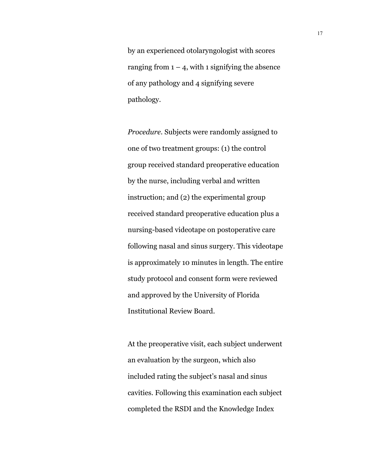by an experienced otolaryngologist with scores ranging from  $1 - 4$ , with 1 signifying the absence of any pathology and 4 signifying severe pathology.

*Procedure.* Subjects were randomly assigned to one of two treatment groups: (1) the control group received standard preoperative education by the nurse, including verbal and written instruction; and (2) the experimental group received standard preoperative education plus a nursing-based videotape on postoperative care following nasal and sinus surgery. This videotape is approximately 10 minutes in length. The entire study protocol and consent form were reviewed and approved by the University of Florida Institutional Review Board.

At the preoperative visit, each subject underwent an evaluation by the surgeon, which also included rating the subject's nasal and sinus cavities. Following this examination each subject completed the RSDI and the Knowledge Index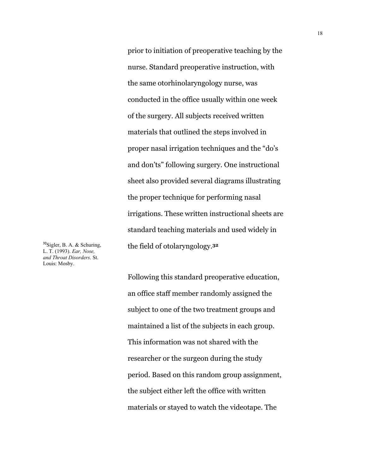prior to initiation of preoperative teaching by the nurse. Standard preoperative instruction, with the same otorhinolaryngology nurse, was conducted in the office usually within one week of the surgery. All subjects received written materials that outlined the steps involved in proper nasal irrigation techniques and the "do's and don'ts" following surgery. One instructional sheet also provided several diagrams illustrating the proper technique for performing nasal irrigations. These written instructional sheets are standard teaching materials and used widely in the field of otolaryngology.**<sup>32</sup>**

**<sup>32</sup>**Sigler, B. A. & Schuring, L. T. (1993). *Ear, Nose, and Throat Disorders*. St. Louis: Mosby.

> Following this standard preoperative education, an office staff member randomly assigned the subject to one of the two treatment groups and maintained a list of the subjects in each group. This information was not shared with the researcher or the surgeon during the study period. Based on this random group assignment, the subject either left the office with written materials or stayed to watch the videotape. The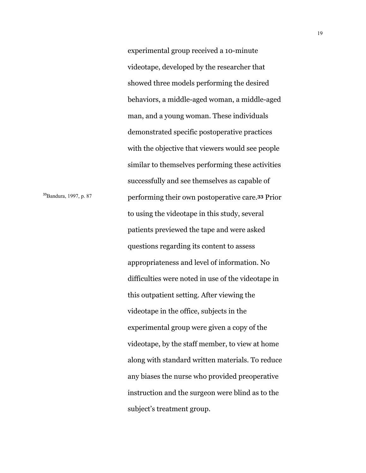experimental group received a 10-minute videotape, developed by the researcher that showed three models performing the desired behaviors, a middle-aged woman, a middle-aged man, and a young woman. These individuals demonstrated specific postoperative practices with the objective that viewers would see people similar to themselves performing these activities successfully and see themselves as capable of <sup>33</sup>Bandura, 1997, p. 87 performing their own postoperative care.<sup>33</sup> Prior to using the videotape in this study, several patients previewed the tape and were asked questions regarding its content to assess appropriateness and level of information. No difficulties were noted in use of the videotape in this outpatient setting. After viewing the videotape in the office, subjects in the experimental group were given a copy of the videotape, by the staff member, to view at home along with standard written materials. To reduce any biases the nurse who provided preoperative instruction and the surgeon were blind as to the subject's treatment group.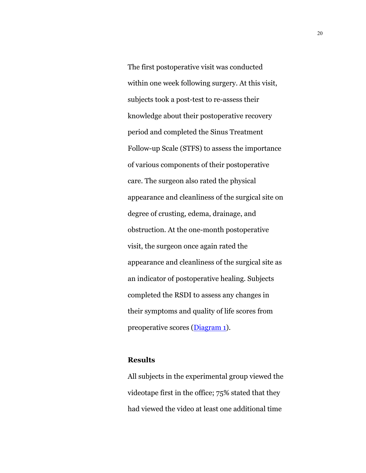The first postoperative visit was conducted within one week following surgery. At this visit, subjects took a post-test to re-assess their knowledge about their postoperative recovery period and completed the Sinus Treatment Follow-up Scale (STFS) to assess the importance of various components of their postoperative care. The surgeon also rated the physical appearance and cleanliness of the surgical site on degree of crusting, edema, drainage, and obstruction. At the one-month postoperative visit, the surgeon once again rated the appearance and cleanliness of the surgical site as an indicator of postoperative healing. Subjects completed the RSDI to assess any changes in their symptoms and quality of life scores from preoperative scores (Diagram 1).

### **Results**

All subjects in the experimental group viewed the videotape first in the office; 75% stated that they had viewed the video at least one additional time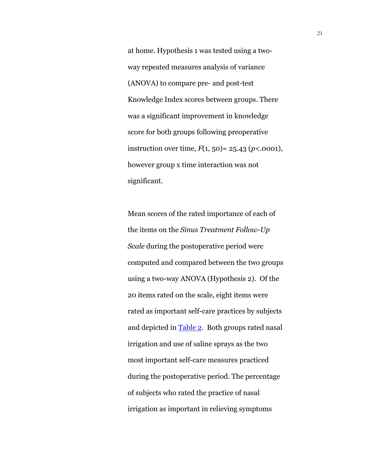at home. Hypothesis 1 was tested using a twoway repeated measures analysis of variance (ANOVA) to compare pre- and post-test Knowledge Index scores between groups. There was a significant improvement in knowledge score for both groups following preoperative instruction over time,  $F(1, 50) = 25.43$  ( $p < .0001$ ), however group x time interaction was not significant.

Mean scores of the rated importance of each of the items on the *Sinus Treatment Follow-Up Scale* during the postoperative period were computed and compared between the two groups using a two-way ANOVA (Hypothesis 2). Of the 20 items rated on the scale, eight items were rated as important self-care practices by subjects and depicted in Table 2. Both groups rated nasal irrigation and use of saline sprays as the two most important self-care measures practiced during the postoperative period. The percentage of subjects who rated the practice of nasal irrigation as important in relieving symptoms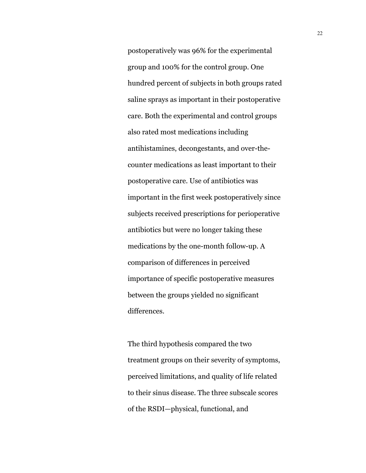postoperatively was 96% for the experimental group and 100% for the control group. One hundred percent of subjects in both groups rated saline sprays as important in their postoperative care. Both the experimental and control groups also rated most medications including antihistamines, decongestants, and over-thecounter medications as least important to their postoperative care. Use of antibiotics was important in the first week postoperatively since subjects received prescriptions for perioperative antibiotics but were no longer taking these medications by the one-month follow-up. A comparison of differences in perceived importance of specific postoperative measures between the groups yielded no significant differences.

The third hypothesis compared the two treatment groups on their severity of symptoms, perceived limitations, and quality of life related to their sinus disease. The three subscale scores of the RSDI—physical, functional, and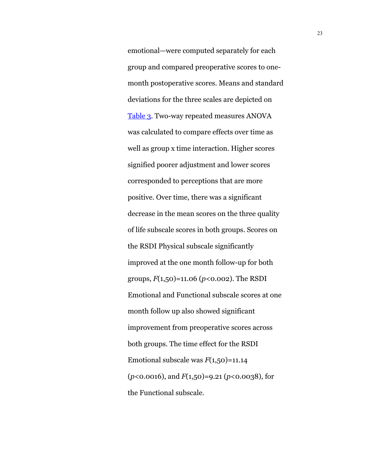emotional—were computed separately for each group and compared preoperative scores to onemonth postoperative scores. Means and standard deviations for the three scales are depicted on Table 3. Two-way repeated measures ANOVA was calculated to compare effects over time as well as group x time interaction. Higher scores signified poorer adjustment and lower scores corresponded to perceptions that are more positive. Over time, there was a significant decrease in the mean scores on the three quality of life subscale scores in both groups. Scores on the RSDI Physical subscale significantly improved at the one month follow-up for both groups, *F*(1,50)=11.06 (*p*<0.002). The RSDI Emotional and Functional subscale scores at one month follow up also showed significant improvement from preoperative scores across both groups. The time effect for the RSDI Emotional subscale was *F*(1,50)=11.14 (*p*<0.0016), and *F*(1,50)=9.21 (*p*<0.0038), for the Functional subscale.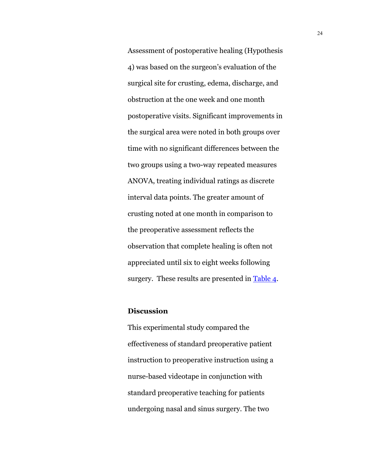Assessment of postoperative healing (Hypothesis 4) was based on the surgeon's evaluation of the surgical site for crusting, edema, discharge, and obstruction at the one week and one month postoperative visits. Significant improvements in the surgical area were noted in both groups over time with no significant differences between the two groups using a two-way repeated measures ANOVA, treating individual ratings as discrete interval data points. The greater amount of crusting noted at one month in comparison to the preoperative assessment reflects the observation that complete healing is often not appreciated until six to eight weeks following surgery. These results are presented in Table 4.

### **Discussion**

This experimental study compared the effectiveness of standard preoperative patient instruction to preoperative instruction using a nurse-based videotape in conjunction with standard preoperative teaching for patients undergoing nasal and sinus surgery. The two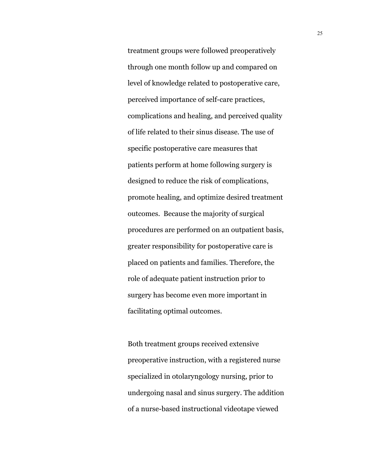treatment groups were followed preoperatively through one month follow up and compared on level of knowledge related to postoperative care, perceived importance of self-care practices, complications and healing, and perceived quality of life related to their sinus disease. The use of specific postoperative care measures that patients perform at home following surgery is designed to reduce the risk of complications, promote healing, and optimize desired treatment outcomes. Because the majority of surgical procedures are performed on an outpatient basis, greater responsibility for postoperative care is placed on patients and families. Therefore, the role of adequate patient instruction prior to surgery has become even more important in facilitating optimal outcomes.

Both treatment groups received extensive preoperative instruction, with a registered nurse specialized in otolaryngology nursing, prior to undergoing nasal and sinus surgery. The addition of a nurse-based instructional videotape viewed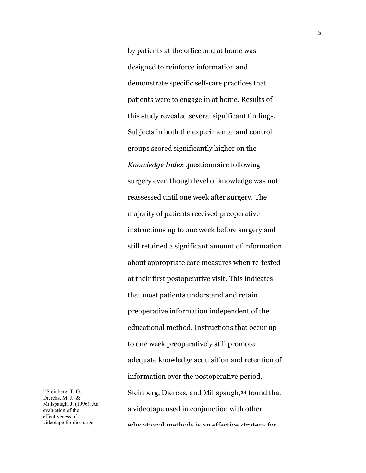by patients at the office and at home was designed to reinforce information and demonstrate specific self-care practices that patients were to engage in at home. Results of this study revealed several significant findings. Subjects in both the experimental and control groups scored significantly higher on the *Knowledge Index* questionnaire following surgery even though level of knowledge was not reassessed until one week after surgery. The majority of patients received preoperative instructions up to one week before surgery and still retained a significant amount of information about appropriate care measures when re-tested at their first postoperative visit. This indicates that most patients understand and retain preoperative information independent of the educational method. Instructions that occur up to one week preoperatively still promote adequate knowledge acquisition and retention of information over the postoperative period. Steinberg, Diercks, and Millspaugh,**34** found that a videotape used in conjunction with other educational methods is an effective strategy for

**<sup>34</sup>**Steinberg, T. G., Diercks, M. J., & Millspaugh, J. (1996). An evaluation of the effectiveness of a videotape for discharge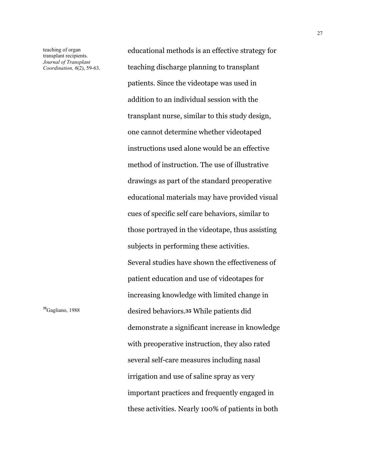teaching of organ transplant recipients. *Journal of Transplant Coordination, 6*(2), 59-63.

educational methods is an effective strategy for teaching discharge planning to transplant patients. Since the videotape was used in addition to an individual session with the transplant nurse, similar to this study design, one cannot determine whether videotaped instructions used alone would be an effective method of instruction. The use of illustrative drawings as part of the standard preoperative educational materials may have provided visual cues of specific self care behaviors, similar to those portrayed in the videotape, thus assisting subjects in performing these activities. Several studies have shown the effectiveness of patient education and use of videotapes for increasing knowledge with limited change in **<sup>35</sup>**Gagliano, 1988 desired behaviors.**35** While patients did demonstrate a significant increase in knowledge with preoperative instruction, they also rated several self-care measures including nasal irrigation and use of saline spray as very important practices and frequently engaged in these activities. Nearly 100% of patients in both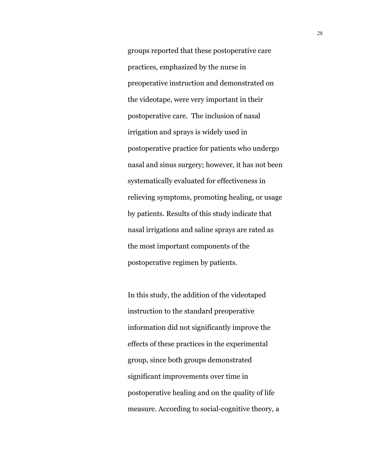groups reported that these postoperative care practices, emphasized by the nurse in preoperative instruction and demonstrated on the videotape, were very important in their postoperative care. The inclusion of nasal irrigation and sprays is widely used in postoperative practice for patients who undergo nasal and sinus surgery; however, it has not been systematically evaluated for effectiveness in relieving symptoms, promoting healing, or usage by patients. Results of this study indicate that nasal irrigations and saline sprays are rated as the most important components of the postoperative regimen by patients.

In this study, the addition of the videotaped instruction to the standard preoperative information did not significantly improve the effects of these practices in the experimental group, since both groups demonstrated significant improvements over time in postoperative healing and on the quality of life measure. According to social-cognitive theory, a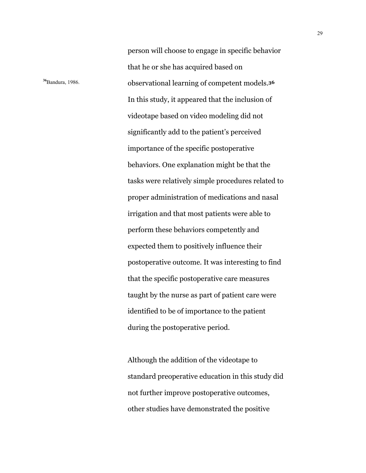person will choose to engage in specific behavior that he or she has acquired based on **<sup>36</sup>**Bandura, 1986. observational learning of competent models.**<sup>36</sup>** In this study, it appeared that the inclusion of videotape based on video modeling did not significantly add to the patient's perceived importance of the specific postoperative behaviors. One explanation might be that the tasks were relatively simple procedures related to proper administration of medications and nasal irrigation and that most patients were able to perform these behaviors competently and expected them to positively influence their postoperative outcome. It was interesting to find that the specific postoperative care measures taught by the nurse as part of patient care were identified to be of importance to the patient during the postoperative period.

> Although the addition of the videotape to standard preoperative education in this study did not further improve postoperative outcomes, other studies have demonstrated the positive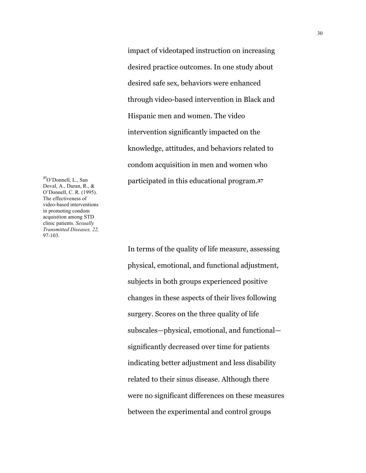impact of videotaped instruction on increasing desired practice outcomes. In one study about desired safe sex, behaviors were enhanced through video-based intervention in Black and Hispanic men and women. The video intervention significantly impacted on the knowledge, attitudes, and behaviors related to condom acquisition in men and women who participated in this educational program.**<sup>37</sup>**

**<sup>37</sup>**O'Donnell, L., San Doval, A., Duran, R., & O'Donnell, C. R. (1995). The effectiveness of video-based interventions in promoting condom acquisition among STD clinic patients. *Sexually Transmitted Diseases, 22,* 97-103.

> In terms of the quality of life measure, assessing physical, emotional, and functional adjustment, subjects in both groups experienced positive changes in these aspects of their lives following surgery. Scores on the three quality of life subscales—physical, emotional, and functional significantly decreased over time for patients indicating better adjustment and less disability related to their sinus disease. Although there were no significant differences on these measures between the experimental and control groups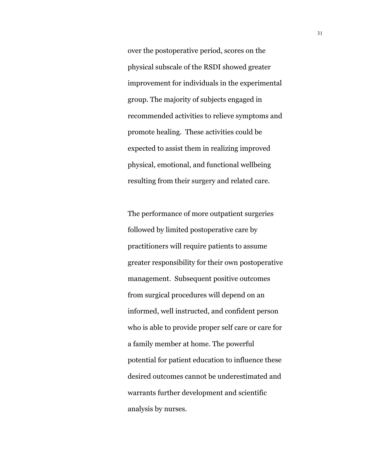over the postoperative period, scores on the physical subscale of the RSDI showed greater improvement for individuals in the experimental group. The majority of subjects engaged in recommended activities to relieve symptoms and promote healing. These activities could be expected to assist them in realizing improved physical, emotional, and functional wellbeing resulting from their surgery and related care.

The performance of more outpatient surgeries followed by limited postoperative care by practitioners will require patients to assume greater responsibility for their own postoperative management. Subsequent positive outcomes from surgical procedures will depend on an informed, well instructed, and confident person who is able to provide proper self care or care for a family member at home. The powerful potential for patient education to influence these desired outcomes cannot be underestimated and warrants further development and scientific analysis by nurses.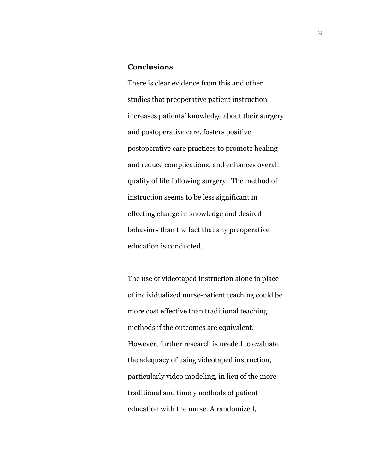### **Conclusions**

There is clear evidence from this and other studies that preoperative patient instruction increases patients' knowledge about their surgery and postoperative care, fosters positive postoperative care practices to promote healing and reduce complications, and enhances overall quality of life following surgery. The method of instruction seems to be less significant in effecting change in knowledge and desired behaviors than the fact that any preoperative education is conducted.

The use of videotaped instruction alone in place of individualized nurse-patient teaching could be more cost effective than traditional teaching methods if the outcomes are equivalent. However, further research is needed to evaluate the adequacy of using videotaped instruction, particularly video modeling, in lieu of the more traditional and timely methods of patient education with the nurse. A randomized,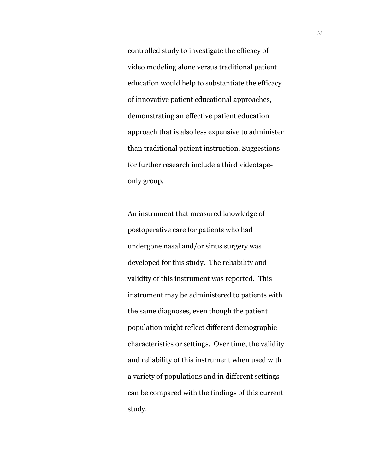controlled study to investigate the efficacy of video modeling alone versus traditional patient education would help to substantiate the efficacy of innovative patient educational approaches, demonstrating an effective patient education approach that is also less expensive to administer than traditional patient instruction. Suggestions for further research include a third videotapeonly group.

An instrument that measured knowledge of postoperative care for patients who had undergone nasal and/or sinus surgery was developed for this study. The reliability and validity of this instrument was reported. This instrument may be administered to patients with the same diagnoses, even though the patient population might reflect different demographic characteristics or settings. Over time, the validity and reliability of this instrument when used with a variety of populations and in different settings can be compared with the findings of this current study.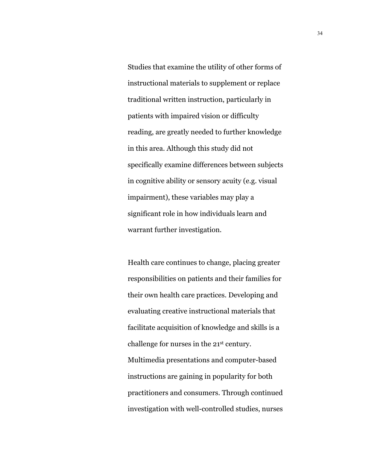Studies that examine the utility of other forms of instructional materials to supplement or replace traditional written instruction, particularly in patients with impaired vision or difficulty reading, are greatly needed to further knowledge in this area. Although this study did not specifically examine differences between subjects in cognitive ability or sensory acuity (e.g. visual impairment), these variables may play a significant role in how individuals learn and warrant further investigation.

Health care continues to change, placing greater responsibilities on patients and their families for their own health care practices. Developing and evaluating creative instructional materials that facilitate acquisition of knowledge and skills is a challenge for nurses in the 21st century. Multimedia presentations and computer-based instructions are gaining in popularity for both practitioners and consumers. Through continued investigation with well-controlled studies, nurses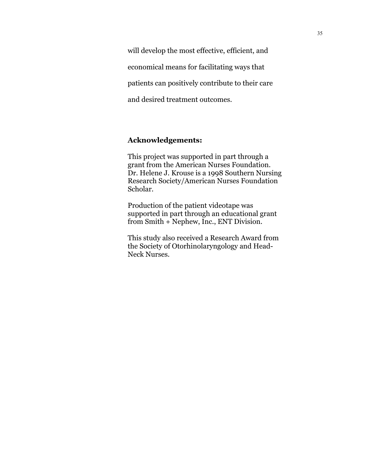will develop the most effective, efficient, and economical means for facilitating ways that patients can positively contribute to their care and desired treatment outcomes.

## **Acknowledgements:**

This project was supported in part through a grant from the American Nurses Foundation. Dr. Helene J. Krouse is a 1998 Southern Nursing Research Society/American Nurses Foundation Scholar.

Production of the patient videotape was supported in part through an educational grant from Smith + Nephew, Inc., ENT Division.

This study also received a Research Award from the Society of Otorhinolaryngology and Head-Neck Nurses.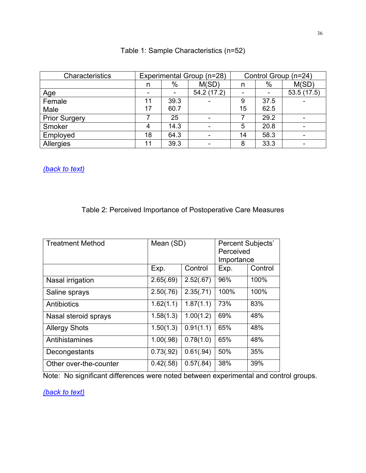| Characteristics      |    |      | Experimental Group (n=28) | Control Group (n=24) |      |            |  |
|----------------------|----|------|---------------------------|----------------------|------|------------|--|
|                      | n  | $\%$ | M(SD)                     | n                    | %    | M(SD)      |  |
| <u>Age</u>           |    |      | 54.2 (17.2)               |                      |      | 53.5(17.5) |  |
| Female               | 11 | 39.3 | ۰                         | 9                    | 37.5 |            |  |
| Male                 | 17 | 60.7 |                           | 15                   | 62.5 |            |  |
| <b>Prior Surgery</b> |    | 25   | -                         |                      | 29.2 |            |  |
| Smoker               |    | 14.3 | ۰                         | 5                    | 20.8 |            |  |
| Employed             | 18 | 64.3 |                           | 14                   | 58.3 |            |  |
| Allergies            | 11 | 39.3 |                           | 8                    | 33.3 |            |  |

# Table 1: Sample Characteristics (n=52)

*(back to text)*

# Table 2: Perceived Importance of Postoperative Care Measures

| <b>Treatment Method</b> | Mean (SD) |           | <b>Percent Subjects'</b><br>Perceived<br>Importance |         |  |
|-------------------------|-----------|-----------|-----------------------------------------------------|---------|--|
|                         | Exp.      | Control   | Exp.                                                | Control |  |
| Nasal irrigation        | 2.65(.69) | 2.52(.67) | 96%                                                 | 100%    |  |
| Saline sprays           | 2.50(.76) | 2.35(.71) | 100%                                                | 100%    |  |
| Antibiotics             | 1.62(1.1) | 1.87(1.1) | 73%                                                 | 83%     |  |
| Nasal steroid sprays    | 1.58(1.3) | 1.00(1.2) | 69%                                                 | 48%     |  |
| <b>Allergy Shots</b>    | 1.50(1.3) | 0.91(1.1) | 65%                                                 | 48%     |  |
| Antihistamines          | 1.00(.98) | 0.78(1.0) | 65%                                                 | 48%     |  |
| Decongestants           | 0.73(.92) | 0.61(.94) | 50%                                                 | 35%     |  |
| Other over-the-counter  | 0.42(.58) | 0.57(.84) | 38%                                                 | 39%     |  |

Note: No significant differences were noted between experimental and control groups.

*(back to text)*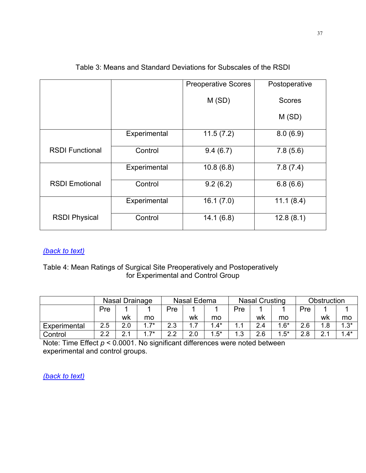|                        |              | <b>Preoperative Scores</b> | Postoperative |
|------------------------|--------------|----------------------------|---------------|
|                        |              | M(SD)                      | <b>Scores</b> |
|                        |              |                            | M(SD)         |
|                        | Experimental | 11.5(7.2)                  | 8.0(6.9)      |
| <b>RSDI Functional</b> | Control      | 9.4(6.7)                   | 7.8(5.6)      |
|                        | Experimental | 10.8(6.8)                  | 7.8(7.4)      |
| <b>RSDI Emotional</b>  | Control      | 9.2(6.2)                   | 6.8(6.6)      |
|                        | Experimental | 16.1(7.0)                  | 11.1(8.4)     |
| <b>RSDI Physical</b>   | Control      | 14.1(6.8)                  | 12.8(8.1)     |

## Table 3: Means and Standard Deviations for Subscales of the RSDI

# *(back to text)*

## Table 4: Mean Ratings of Surgical Site Preoperatively and Postoperatively for Experimental and Control Group

|              |     | Nasal Drainage |            | Nasal Edema        |     | <b>Nasal Crusting</b> |            |     | Obstruction |     |                  |        |
|--------------|-----|----------------|------------|--------------------|-----|-----------------------|------------|-----|-------------|-----|------------------|--------|
|              | Pre |                |            | Pre                |     |                       | Pre        |     |             | Pre |                  |        |
|              |     | wk             | mo         |                    | wk  | mo                    |            | wk  | mo          |     | wk               | mo     |
| Experimental | 2.5 | 2.0            | $1.7*$     | $\sim$<br>റ<br>ں ۔ | .   | $.4^*$                |            | 2.4 | $1.6*$      | 2.6 | .8               | $1.3*$ |
| Control      | າາ  |                | $17*$<br>. | ົດ ດ               | 2.0 | $.5^*$                | ີ<br>. . ٻ | 2.6 | $.5^*$      | 2.8 | C<br><u>. . </u> | $1.4*$ |

Note: Time Effect *p* < 0.0001. No significant differences were noted between experimental and control groups.

*(back to text)*